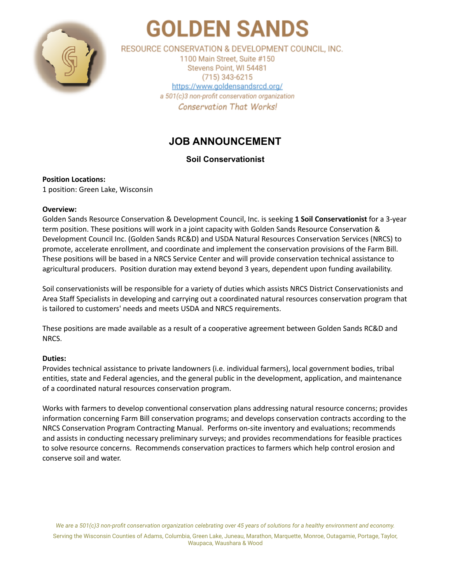

# **GOLDEN SANDS**

RESOURCE CONSERVATION & DEVELOPMENT COUNCIL, INC. 1100 Main Street, Suite #150 Stevens Point, WI 54481

 $(715)$  343-6215 https://www.goldensandsrcd.org/ a 501(c)3 non-profit conservation organization **Conservation That Works!** 

## **JOB ANNOUNCEMENT**

### **Soil Conservationist**

#### **Position Locations:**

1 position: Green Lake, Wisconsin

#### **Overview:**

Golden Sands Resource Conservation & Development Council, Inc. is seeking **1 Soil Conservationist** for a 3-year term position. These positions will work in a joint capacity with Golden Sands Resource Conservation & Development Council Inc. (Golden Sands RC&D) and USDA Natural Resources Conservation Services (NRCS) to promote, accelerate enrollment, and coordinate and implement the conservation provisions of the Farm Bill. These positions will be based in a NRCS Service Center and will provide conservation technical assistance to agricultural producers. Position duration may extend beyond 3 years, dependent upon funding availability.

Soil conservationists will be responsible for a variety of duties which assists NRCS District Conservationists and Area Staff Specialists in developing and carrying out a coordinated natural resources conservation program that is tailored to customers' needs and meets USDA and NRCS requirements.

These positions are made available as a result of a cooperative agreement between Golden Sands RC&D and NRCS.

#### **Duties:**

Provides technical assistance to private landowners (i.e. individual farmers), local government bodies, tribal entities, state and Federal agencies, and the general public in the development, application, and maintenance of a coordinated natural resources conservation program.

Works with farmers to develop conventional conservation plans addressing natural resource concerns; provides information concerning Farm Bill conservation programs; and develops conservation contracts according to the NRCS Conservation Program Contracting Manual. Performs on-site inventory and evaluations; recommends and assists in conducting necessary preliminary surveys; and provides recommendations for feasible practices to solve resource concerns. Recommends conservation practices to farmers which help control erosion and conserve soil and water.